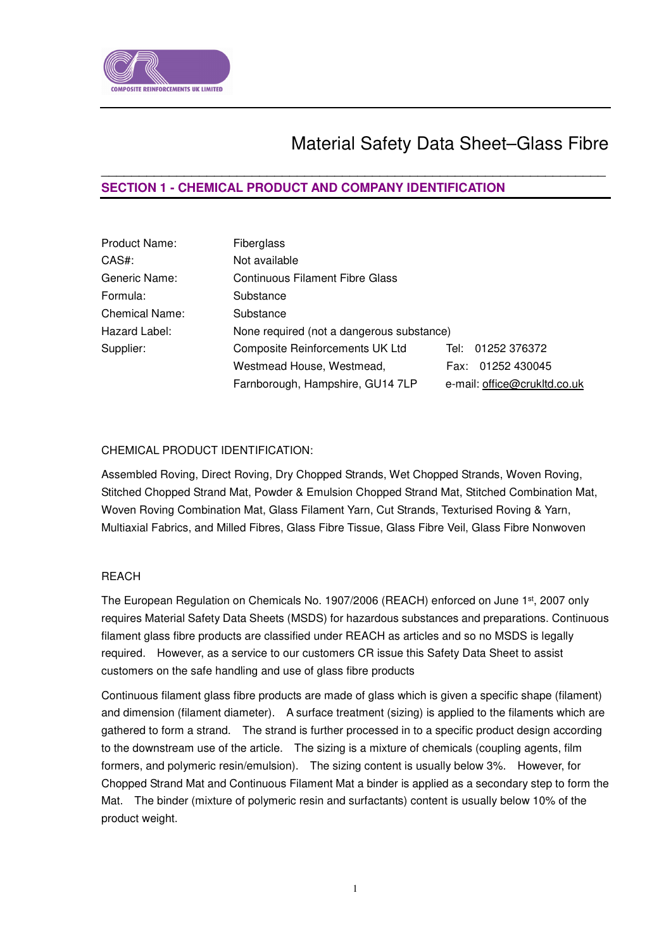

# Material Safety Data Sheet–Glass Fibre

# **SECTION 1 - CHEMICAL PRODUCT AND COMPANY IDENTIFICATION**

| Product Name:         | Fiberglass                                |                              |  |  |
|-----------------------|-------------------------------------------|------------------------------|--|--|
| CAS#:                 | Not available                             |                              |  |  |
| Generic Name:         | Continuous Filament Fibre Glass           |                              |  |  |
| Formula:              | Substance                                 |                              |  |  |
| <b>Chemical Name:</b> | Substance                                 |                              |  |  |
| Hazard Label:         | None required (not a dangerous substance) |                              |  |  |
| Supplier:             | Composite Reinforcements UK Ltd           | 01252 376372<br>Tel: I       |  |  |
|                       | Westmead House, Westmead,                 | Fax: 01252 430045            |  |  |
|                       | Farnborough, Hampshire, GU14 7LP          | e-mail: office@crukltd.co.uk |  |  |

 $\overline{a}$  , and the contribution of the contribution of the contribution of the contribution of the contribution of the contribution of the contribution of the contribution of the contribution of the contribution of the co

# CHEMICAL PRODUCT IDENTIFICATION:

Assembled Roving, Direct Roving, Dry Chopped Strands, Wet Chopped Strands, Woven Roving, Stitched Chopped Strand Mat, Powder & Emulsion Chopped Strand Mat, Stitched Combination Mat, Woven Roving Combination Mat, Glass Filament Yarn, Cut Strands, Texturised Roving & Yarn, Multiaxial Fabrics, and Milled Fibres, Glass Fibre Tissue, Glass Fibre Veil, Glass Fibre Nonwoven

# REACH

The European Regulation on Chemicals No. 1907/2006 (REACH) enforced on June 1st, 2007 only requires Material Safety Data Sheets (MSDS) for hazardous substances and preparations. Continuous filament glass fibre products are classified under REACH as articles and so no MSDS is legally required. However, as a service to our customers CR issue this Safety Data Sheet to assist customers on the safe handling and use of glass fibre products

Continuous filament glass fibre products are made of glass which is given a specific shape (filament) and dimension (filament diameter). A surface treatment (sizing) is applied to the filaments which are gathered to form a strand. The strand is further processed in to a specific product design according to the downstream use of the article. The sizing is a mixture of chemicals (coupling agents, film formers, and polymeric resin/emulsion). The sizing content is usually below 3%. However, for Chopped Strand Mat and Continuous Filament Mat a binder is applied as a secondary step to form the Mat. The binder (mixture of polymeric resin and surfactants) content is usually below 10% of the product weight.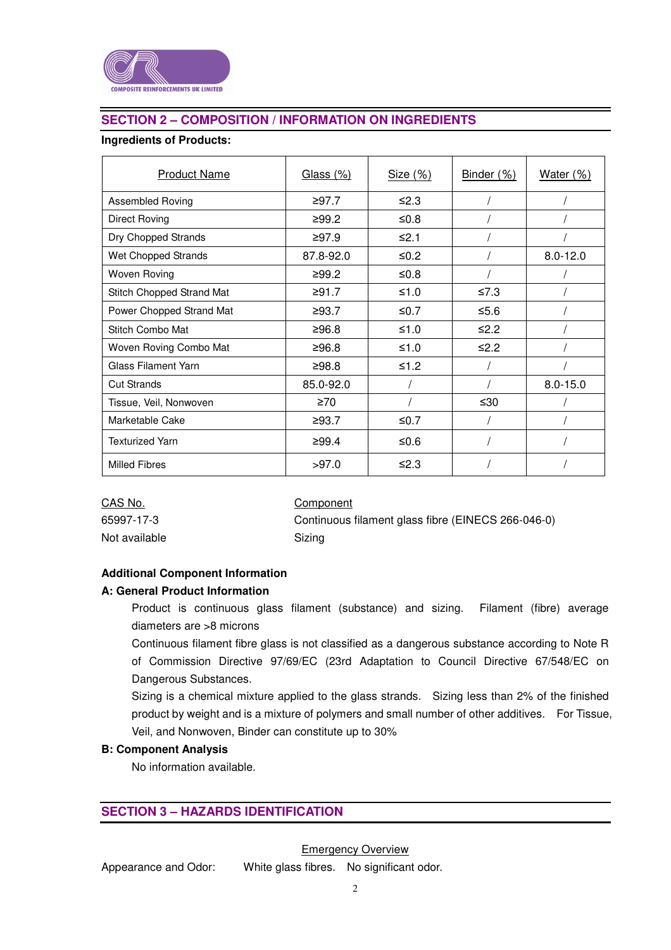

# **SECTION 2 – COMPOSITION / INFORMATION ON INGREDIENTS**

# **Ingredients of Products:**

| <b>Product Name</b>        | Glass (%) | Size $(\%)$ | Binder (%) | Water $(\%)$ |
|----------------------------|-----------|-------------|------------|--------------|
| Assembled Roving           | ≥97.7     | ≤2.3        |            |              |
| <b>Direct Roving</b>       | ≥99.2     | ≤ $0.8$     |            |              |
| Dry Chopped Strands        | ≥97.9     | ≤2.1        |            |              |
| Wet Chopped Strands        | 87.8-92.0 | ≤ $0.2$     |            | $8.0 - 12.0$ |
| <b>Woven Roving</b>        | ≥99.2     | ≤ $0.8$     |            |              |
| Stitch Chopped Strand Mat  | ≥91.7     | ≤1.0        | ≤7.3       |              |
| Power Chopped Strand Mat   | ≥93.7     | $\leq 0.7$  | $≤5.6$     |              |
| Stitch Combo Mat           | ≥96.8     | ≤1.0        | $\leq 2.2$ |              |
| Woven Roving Combo Mat     | ≥96.8     | ≤1.0        | $\leq 2.2$ |              |
| <b>Glass Filament Yarn</b> | ≥98.8     | ≤1.2        |            |              |
| <b>Cut Strands</b>         | 85.0-92.0 |             |            | $8.0 - 15.0$ |
| Tissue, Veil, Nonwoven     | $\geq 70$ |             | ≤30        |              |
| Marketable Cake            | ≥93.7     | ≤ $0.7$     |            |              |
| <b>Texturized Yarn</b>     | ≥99.4     | ≤ $0.6$     |            |              |
| <b>Milled Fibres</b>       | >97.0     | ≤2.3        |            |              |

| CAS No.       | Component  |
|---------------|------------|
| 65997-17-3    | Continuous |
| Not available | Sizina     |

Continuous filament glass fibre (EINECS 266-046-0) Sizing

# **Additional Component Information**

# **A: General Product Information**

Product is continuous glass filament (substance) and sizing. Filament (fibre) average diameters are >8 microns

Continuous filament fibre glass is not classified as a dangerous substance according to Note R of Commission Directive 97/69/EC (23rd Adaptation to Council Directive 67/548/EC on Dangerous Substances.

Sizing is a chemical mixture applied to the glass strands. Sizing less than 2% of the finished product by weight and is a mixture of polymers and small number of other additives. For Tissue, Veil, and Nonwoven, Binder can constitute up to 30%

# **B: Component Analysis**

No information available.

# **SECTION 3 – HAZARDS IDENTIFICATION**

Emergency Overview

Appearance and Odor: White glass fibres. No significant odor.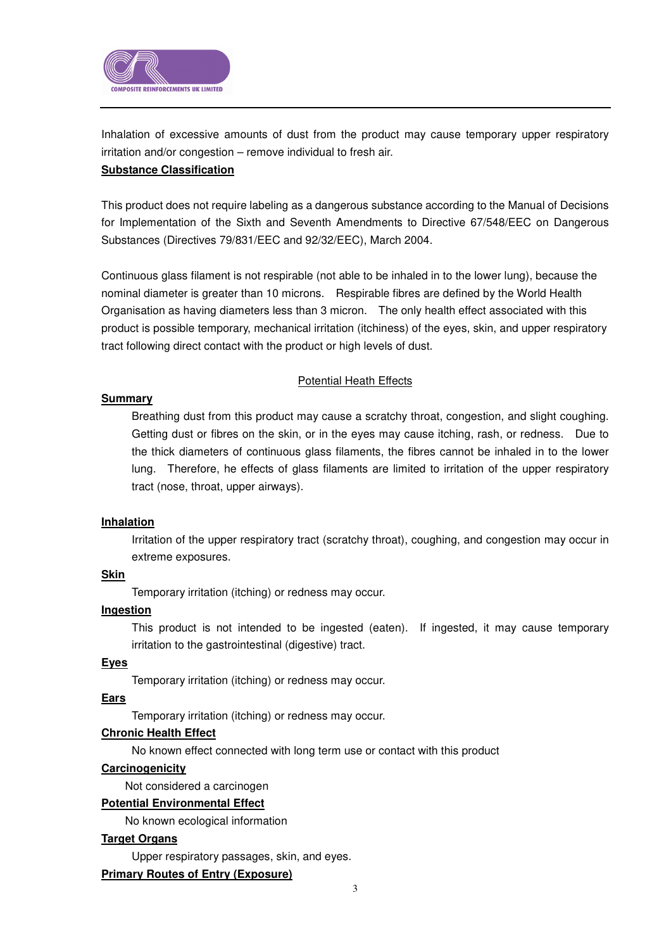

Inhalation of excessive amounts of dust from the product may cause temporary upper respiratory irritation and/or congestion – remove individual to fresh air.

# **Substance Classification**

This product does not require labeling as a dangerous substance according to the Manual of Decisions for Implementation of the Sixth and Seventh Amendments to Directive 67/548/EEC on Dangerous Substances (Directives 79/831/EEC and 92/32/EEC), March 2004.

Continuous glass filament is not respirable (not able to be inhaled in to the lower lung), because the nominal diameter is greater than 10 microns. Respirable fibres are defined by the World Health Organisation as having diameters less than 3 micron. The only health effect associated with this product is possible temporary, mechanical irritation (itchiness) of the eyes, skin, and upper respiratory tract following direct contact with the product or high levels of dust.

# Potential Heath Effects

# **Summary**

Breathing dust from this product may cause a scratchy throat, congestion, and slight coughing. Getting dust or fibres on the skin, or in the eyes may cause itching, rash, or redness. Due to the thick diameters of continuous glass filaments, the fibres cannot be inhaled in to the lower lung. Therefore, he effects of glass filaments are limited to irritation of the upper respiratory tract (nose, throat, upper airways).

# **Inhalation**

Irritation of the upper respiratory tract (scratchy throat), coughing, and congestion may occur in extreme exposures.

# **Skin**

Temporary irritation (itching) or redness may occur.

# **Ingestion**

This product is not intended to be ingested (eaten). If ingested, it may cause temporary irritation to the gastrointestinal (digestive) tract.

# **Eyes**

Temporary irritation (itching) or redness may occur.

# **Ears**

Temporary irritation (itching) or redness may occur.

# **Chronic Health Effect**

No known effect connected with long term use or contact with this product

# **Carcinogenicity**

Not considered a carcinogen

# **Potential Environmental Effect**

No known ecological information

# **Target Organs**

Upper respiratory passages, skin, and eyes.

# **Primary Routes of Entry (Exposure)**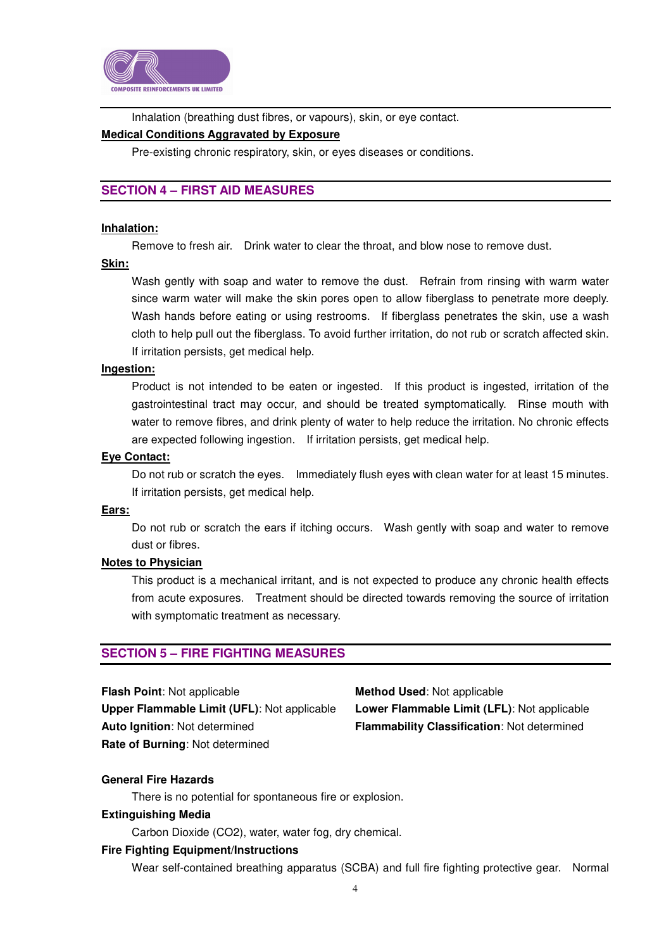

Inhalation (breathing dust fibres, or vapours), skin, or eye contact.

### **Medical Conditions Aggravated by Exposure**

Pre-existing chronic respiratory, skin, or eyes diseases or conditions.

# **SECTION 4 – FIRST AID MEASURES**

### **Inhalation:**

Remove to fresh air. Drink water to clear the throat, and blow nose to remove dust.

#### **Skin:**

Wash gently with soap and water to remove the dust. Refrain from rinsing with warm water since warm water will make the skin pores open to allow fiberglass to penetrate more deeply. Wash hands before eating or using restrooms. If fiberglass penetrates the skin, use a wash cloth to help pull out the fiberglass. To avoid further irritation, do not rub or scratch affected skin. If irritation persists, get medical help.

### **Ingestion:**

Product is not intended to be eaten or ingested. If this product is ingested, irritation of the gastrointestinal tract may occur, and should be treated symptomatically. Rinse mouth with water to remove fibres, and drink plenty of water to help reduce the irritation. No chronic effects are expected following ingestion. If irritation persists, get medical help.

#### **Eye Contact:**

Do not rub or scratch the eyes. Immediately flush eyes with clean water for at least 15 minutes. If irritation persists, get medical help.

### **Ears:**

Do not rub or scratch the ears if itching occurs. Wash gently with soap and water to remove dust or fibres.

### **Notes to Physician**

This product is a mechanical irritant, and is not expected to produce any chronic health effects from acute exposures. Treatment should be directed towards removing the source of irritation with symptomatic treatment as necessary.

# **SECTION 5 – FIRE FIGHTING MEASURES**

**Upper Flammable Limit (UFL)**: Not applicable **Lower Flammable Limit (LFL)**: Not applicable **Auto Ignition**: Not determined **Flammability Classification**: Not determined **Rate of Burning**: Not determined

**Flash Point:** Not applicable **Method Used:** Not applicable

### **General Fire Hazards**

There is no potential for spontaneous fire or explosion.

### **Extinguishing Media**

Carbon Dioxide (CO2), water, water fog, dry chemical.

### **Fire Fighting Equipment/Instructions**

Wear self-contained breathing apparatus (SCBA) and full fire fighting protective gear. Normal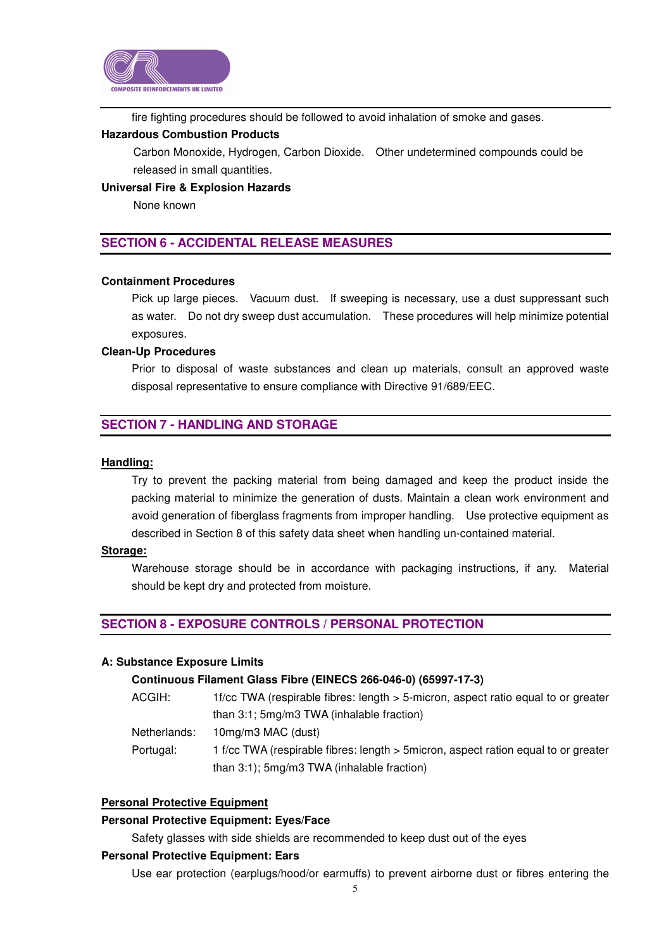

fire fighting procedures should be followed to avoid inhalation of smoke and gases.

# **Hazardous Combustion Products**

Carbon Monoxide, Hydrogen, Carbon Dioxide. Other undetermined compounds could be released in small quantities.

### **Universal Fire & Explosion Hazards**

None known

# **SECTION 6 - ACCIDENTAL RELEASE MEASURES**

### **Containment Procedures**

Pick up large pieces. Vacuum dust. If sweeping is necessary, use a dust suppressant such as water. Do not dry sweep dust accumulation. These procedures will help minimize potential exposures.

### **Clean-Up Procedures**

Prior to disposal of waste substances and clean up materials, consult an approved waste disposal representative to ensure compliance with Directive 91/689/EEC.

# **SECTION 7 - HANDLING AND STORAGE**

### **Handling:**

Try to prevent the packing material from being damaged and keep the product inside the packing material to minimize the generation of dusts. Maintain a clean work environment and avoid generation of fiberglass fragments from improper handling. Use protective equipment as described in Section 8 of this safety data sheet when handling un-contained material.

### **Storage:**

Warehouse storage should be in accordance with packaging instructions, if any. Material should be kept dry and protected from moisture.

# **SECTION 8 - EXPOSURE CONTROLS / PERSONAL PROTECTION**

### **A: Substance Exposure Limits**

### **Continuous Filament Glass Fibre (EINECS 266-046-0) (65997-17-3)**

- ACGIH: 1f/cc TWA (respirable fibres: length > 5-micron, aspect ratio equal to or greater than 3:1; 5mg/m3 TWA (inhalable fraction)
- Netherlands: 10mg/m3 MAC (dust)
- Portugal: 1 f/cc TWA (respirable fibres: length > 5micron, aspect ration equal to or greater than 3:1); 5mg/m3 TWA (inhalable fraction)

# **Personal Protective Equipment**

### **Personal Protective Equipment: Eyes/Face**

Safety glasses with side shields are recommended to keep dust out of the eyes

### **Personal Protective Equipment: Ears**

Use ear protection (earplugs/hood/or earmuffs) to prevent airborne dust or fibres entering the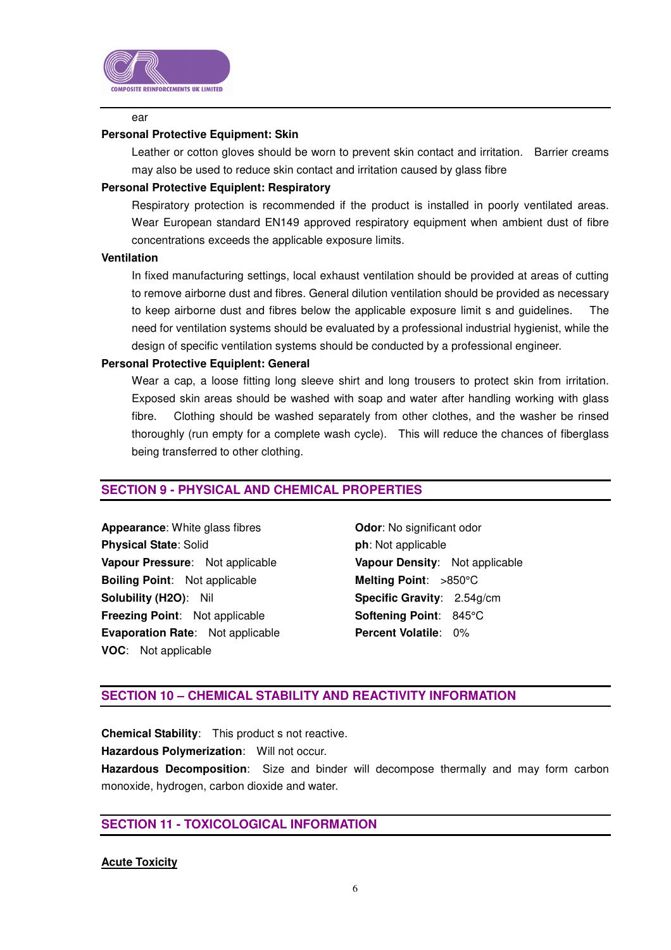

### ear

### **Personal Protective Equipment: Skin**

Leather or cotton gloves should be worn to prevent skin contact and irritation. Barrier creams may also be used to reduce skin contact and irritation caused by glass fibre

### **Personal Protective Equiplent: Respiratory**

Respiratory protection is recommended if the product is installed in poorly ventilated areas. Wear European standard EN149 approved respiratory equipment when ambient dust of fibre concentrations exceeds the applicable exposure limits.

### **Ventilation**

In fixed manufacturing settings, local exhaust ventilation should be provided at areas of cutting to remove airborne dust and fibres. General dilution ventilation should be provided as necessary to keep airborne dust and fibres below the applicable exposure limit s and guidelines. The need for ventilation systems should be evaluated by a professional industrial hygienist, while the design of specific ventilation systems should be conducted by a professional engineer.

# **Personal Protective Equiplent: General**

Wear a cap, a loose fitting long sleeve shirt and long trousers to protect skin from irritation. Exposed skin areas should be washed with soap and water after handling working with glass fibre. Clothing should be washed separately from other clothes, and the washer be rinsed thoroughly (run empty for a complete wash cycle). This will reduce the chances of fiberglass being transferred to other clothing.

# **SECTION 9 - PHYSICAL AND CHEMICAL PROPERTIES**

**Appearance:** White glass fibres **Odor:** No significant odor **Physical State**: Solid **phical Physical State**: Solid **Vapour Pressure**: Not applicable **Vapour Density**: Not applicable **Boiling Point:** Not applicable **Melting Point:** >850°C **Solubility (H2O)**: Nil **Specific Gravity**: 2.54g/cm **Freezing Point:** Not applicable **Softening Point: 845°C Evaporation Rate:** Not applicable **Percent Volatile: 0% VOC**: Not applicable

# **SECTION 10 – CHEMICAL STABILITY AND REACTIVITY INFORMATION**

**Chemical Stability**: This product s not reactive.

**Hazardous Polymerization**: Will not occur.

**Hazardous Decomposition**: Size and binder will decompose thermally and may form carbon monoxide, hydrogen, carbon dioxide and water.

# **SECTION 11 - TOXICOLOGICAL INFORMATION**

# **Acute Toxicity**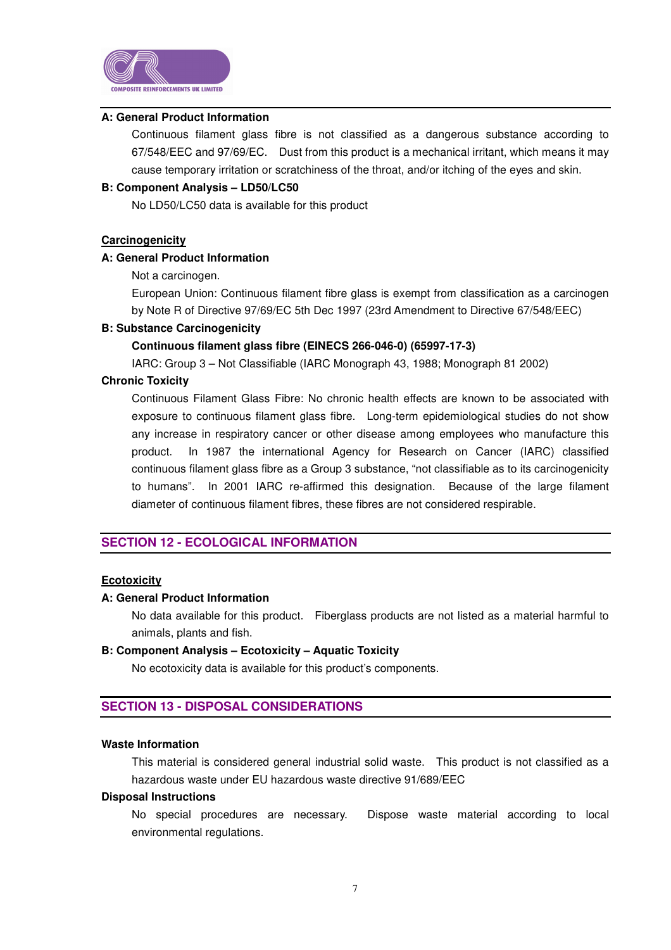

### **A: General Product Information**

Continuous filament glass fibre is not classified as a dangerous substance according to 67/548/EEC and 97/69/EC. Dust from this product is a mechanical irritant, which means it may cause temporary irritation or scratchiness of the throat, and/or itching of the eyes and skin.

# **B: Component Analysis – LD50/LC50**

No LD50/LC50 data is available for this product

### **Carcinogenicity**

# **A: General Product Information**

Not a carcinogen.

European Union: Continuous filament fibre glass is exempt from classification as a carcinogen by Note R of Directive 97/69/EC 5th Dec 1997 (23rd Amendment to Directive 67/548/EEC)

### **B: Substance Carcinogenicity**

### **Continuous filament glass fibre (EINECS 266-046-0) (65997-17-3)**

IARC: Group 3 – Not Classifiable (IARC Monograph 43, 1988; Monograph 81 2002)

# **Chronic Toxicity**

Continuous Filament Glass Fibre: No chronic health effects are known to be associated with exposure to continuous filament glass fibre. Long-term epidemiological studies do not show any increase in respiratory cancer or other disease among employees who manufacture this product. In 1987 the international Agency for Research on Cancer (IARC) classified continuous filament glass fibre as a Group 3 substance, "not classifiable as to its carcinogenicity to humans". In 2001 IARC re-affirmed this designation. Because of the large filament diameter of continuous filament fibres, these fibres are not considered respirable.

# **SECTION 12 - ECOLOGICAL INFORMATION**

### **Ecotoxicity**

### **A: General Product Information**

No data available for this product. Fiberglass products are not listed as a material harmful to animals, plants and fish.

### **B: Component Analysis – Ecotoxicity – Aquatic Toxicity**

No ecotoxicity data is available for this product's components.

# **SECTION 13 - DISPOSAL CONSIDERATIONS**

### **Waste Information**

This material is considered general industrial solid waste. This product is not classified as a hazardous waste under EU hazardous waste directive 91/689/EEC

# **Disposal Instructions**

No special procedures are necessary. Dispose waste material according to local environmental regulations.